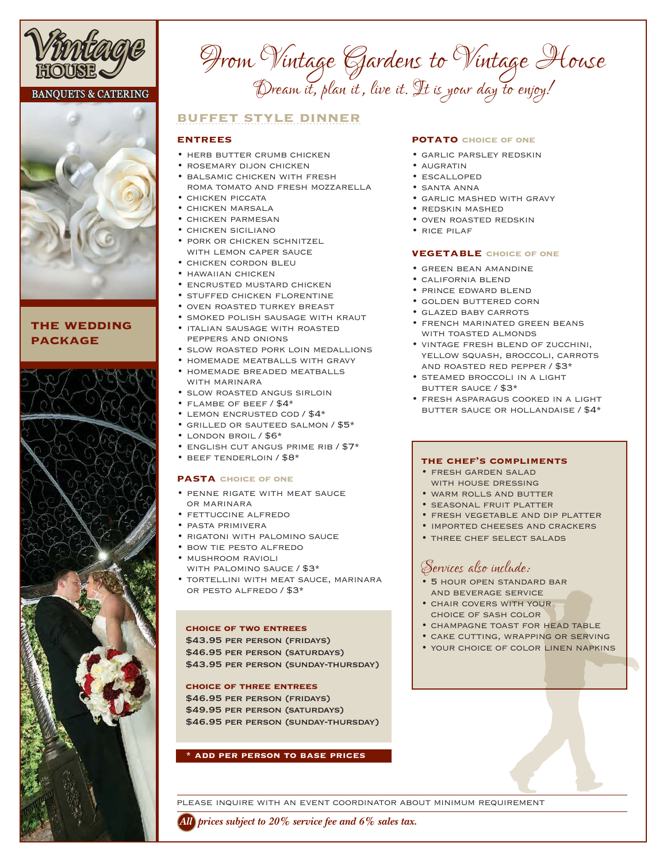

#### **BANQUETS & CATERING**



## **the wedding package**



# *From Vintage Gardens to Vintage House Dream it, plan it , live it. It is your day to enjoy!*

## **buffet style dinner**

#### **entrees**

- HERB BUTTER CRUMB CHICKEN
- rosemary dijon chicken
- balsamic chicken with fresh roma tomato and fresh mozzarella
- chicken piccata
- chicken marsala
- chicken parmesan
- chicken siciliano • pork or chicken schnitzel
- WITH LEMON CAPER SAUCE
- chicken cordon bleu
- hawaiian chicken
- encrusted mustard chicken
- stuffed chicken florentine
- oven roasted turkey breast
- smoked polish sausage with kraut
- italian sausage with roasted peppers and onions
- slow roasted pork loin medallions
- homemade meatballs with gravy
- homemade breaded meatballs WITH MARINARA
- slow roasted angus sirloin
- flambe of beef / \$4\*
- lemon encrusted cod / \$4\*
- grilled or sauteed salmon / \$5\*
- london broil / \$6\*
- english cut angus prime rib / \$7\*
- beef tenderloin / \$8\*

#### **pasta choice of one**

- penne rigate with meat sauce or marinara
- fettuccine alfredo
- pasta primivera
- rigatoni with palomino sauce
- bow tie pesto alfredo
- mushroom ravioli with palomino sauce / \$3\*
- tortellini with meat sauce, marinara or pesto alfredo / \$3\*

#### **choice of two entrees**

\$43.95 PER PERSON (FRIDAYS) \$46.95 PER PERSON (SATURDAYS) \$43.95 PER PERSON (SUNDAY-THURSDAY)

#### **choice of three entrees**

\$46.95 PER PERSON (FRIDAYS) \$49.95 PER PERSON (SATURDAYS) \$46.95 PER PERSON (SUNDAY-THURSDAY)

#### **\* add per person to base prices**

#### **POTATO CHOICE OF ONE**

- garlic parsley redskin
- AUGRATIN
- escalloped
- santa anna
- garlic mashed with gravy
- redskin mashed
	- oven roasted redskin
	- rice pilaf

#### **vegetable choice of one**

- green bean amandine
- california blend
- prince edward blend
- golden buttered corn
- glazed baby carrots
- french marinated green beans WITH TOASTED ALMONDS
- vintage fresh blend of zucchini, yellow squash, broccoli, carrots and roasted red pepper / \$3\*
- steamed broccoli in a light butter sauce / \$3\*
- fresh asparagus cooked in a light butter sauce or hollandaise / \$4\*

#### **the chef's compliments**

- fresh garden salad WITH HOUSE DRESSING
- warm rolls and butter
- seasonal fruit platter
- fresh vegetable and dip platter
- imported cheeses and crackers
- three chef select salads

# *Services also include:*

- 5 hour open standard bar and beverage service
- chair covers with your choice of sash color
- champagne toast for head table
- cake cutting, wrapping or serving
- your choice of color linen napkins

please inquire with an event coordinator about minimum requirement

*All prices subject to 20% service fee and 6% sales tax.*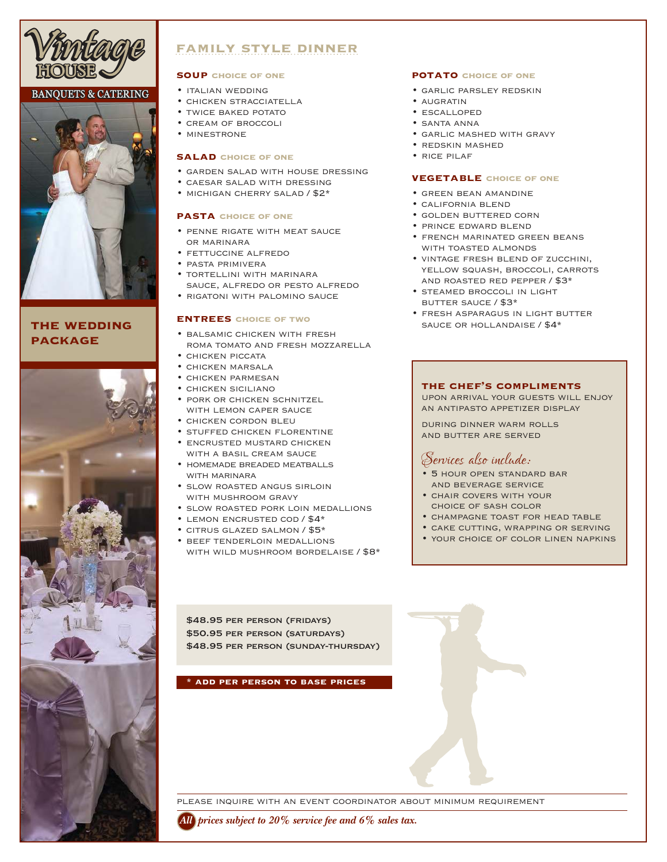

#### **BANOUETS & CATERING**



## **the wedding package**



# **family style dinner**

#### **soup choice of one**

- italian wedding
- chicken stracciatella
- TWICE BAKED POTATO
- cream of broccoli
- minestrone

#### **salad choice of one**

- garden salad with house dressing
- caesar salad with dressing
- michigan cherry salad / \$2\*

#### **pasta choice of one**

- penne rigate with meat sauce or marinara
- fettuccine alfredo
- pasta primivera
- tortellini with marinara sauce, alfredo or pesto alfredo
- rigatoni with palomino sauce

#### **entrees choice of two**

- balsamic chicken with fresh roma tomato and fresh mozzarella
- chicken piccata
- chicken marsala
- chicken parmesan
- chicken siciliano
- pork or chicken schnitzel with lemon caper sauce
- chicken cordon bleu
- stuffed chicken florentine
- encrusted mustard chicken
- WITH A BASIL CREAM SAUCE • homemade breaded meatballs WITH MARINARA
- slow roasted angus sirloin with mushroom gravy
- slow roasted pork loin medallions
- lemon encrusted cod / \$4\*
- citrus glazed salmon / \$5\*
- beef tenderloin medallions with wild mushroom bordelaise / \$8\*

#### **potato choice of one**

- garlic parsley redskin
- augratin
- escalloped
- santa anna
- garlic mashed with gravy
- redskin mashed
- rice pilaf

#### **vegetable choice of one**

- green bean amandine
- california blend
- golden buttered corn
- prince edward blend
- french marinated green beans WITH TOASTED ALMONDS
- vintage fresh blend of zucchini, YELLOW SQUASH, BROCCOLI, CARROTS and roasted red pepper / \$3\*
- steamed broccoli in light butter sauce / \$3\*
- fresh asparagus in light butter sauce or hollandaise / \$4\*

#### **the chef's compliments**

upon arrival your guests will enjoy an antipasto appetizer display

during dinner warm rolls and butter are served

# *Services also include:*

- 5 hour open standard bar and beverage service
- chair covers with your choice of sash color
- champagne toast for head table
- cake cutting, wrapping or serving
- your choice of color linen napkins

\$48.95 PER PERSON (FRIDAYS) \$50.95 per person (saturdays) \$48.95 PER PERSON (SUNDAY-THURSDAY)

#### **\* add per person to base prices**

please inquire with an event coordinator about minimum requirement

*All prices subject to 20% service fee and 6% sales tax.*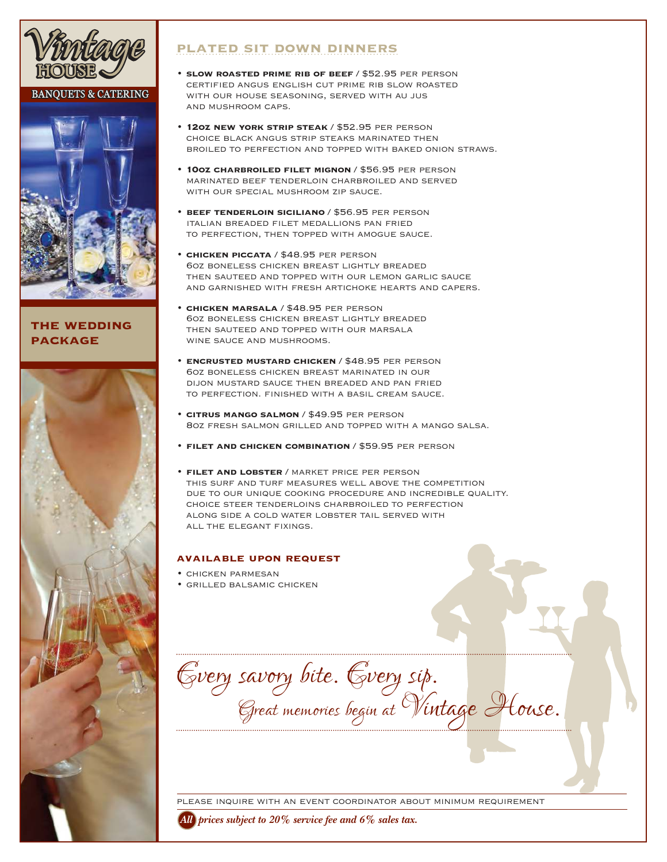

### **BANQUETS & CATERING**



### **the wedding package**



# **plated sit down dinners**

- **slow roasted prime rib of beef** / \$52.95 per person certified angus english cut prime rib slow roasted with our house seasoning, served with au jus and mushroom caps.
- **12oz new york strip steak** / \$52.95 per person choice black angus strip steaks marinated then broiled to perfection and topped with baked onion straws.
- **10oz charbroiled filet mignon** / \$56.95 per person marinated beef tenderloin charbroiled and served with our special mushroom zip sauce.
- **beef tenderloin siciliano** / \$56.95 per person italian breaded filet medallions pan fried to perfection, then topped with amogue sauce.
- **chicken piccata** / \$48.95 per person 6oz boneless chicken breast lightly breaded then sauteed and topped with our lemon garlic sauce and garnished with fresh artichoke hearts and capers.
- **chicken marsala** / \$48.95 per person 6oz boneless chicken breast lightly breaded then sauteed and topped with our marsala wine sauce and mushrooms.
- **encrusted mustard chicken** / \$48.95 per person 6oz boneless chicken breast marinated in our dijon mustard sauce then breaded and pan fried to perfection. finished with a basil cream sauce.
- **citrus mango salmon** / \$49.95 per person 8oz fresh salmon grilled and topped with a mango salsa.
- **filet and chicken combination** / \$59.95 per person
- **filet and lobster** / market price per person this surf and turf measures well above the competition due to our unique cooking procedure and incredible quality. choice steer tenderloins charbroiled to perfection along side a cold water lobster tail served with all the elegant fixings.

#### **available upon request**

- chicken parmesan
- grilled balsamic chicken

*Every savory bite. Every sip. Great memories begin at Vintage House.*

please inquire with an event coordinator about minimum requirement

*All prices subject to 20% service fee and 6% sales tax.*